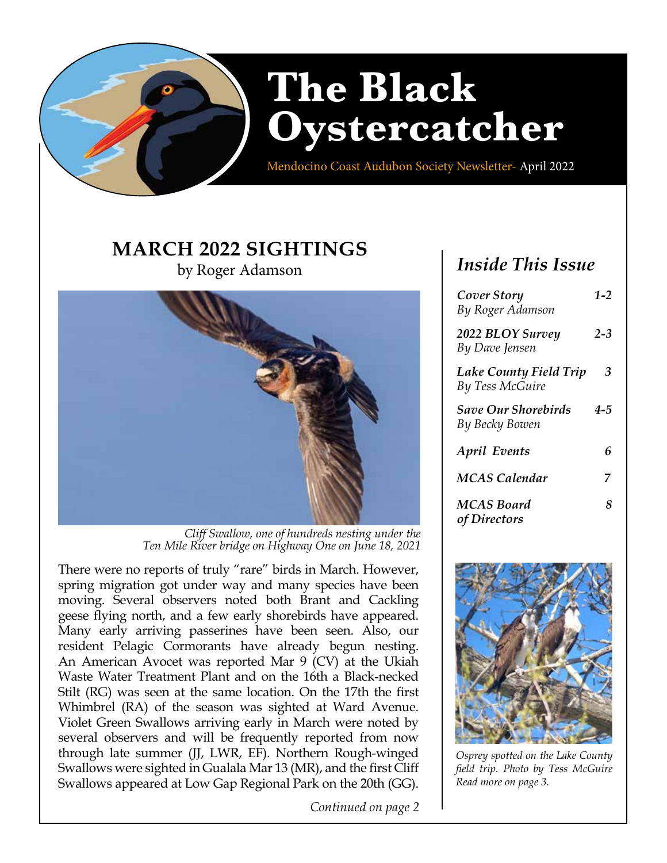

Mendocino Coast Audubon Society Newsletter- April 2022

# **MARCH 2022 SIGHTINGS**

by Roger Adamson



*Cliff Swallow, one of hundreds nesting under the Ten Mile River bridge on Highway One on June 18, 2021*

There were no reports of truly "rare" birds in March. However, spring migration got under way and many species have been moving. Several observers noted both Brant and Cackling geese flying north, and a few early shorebirds have appeared. Many early arriving passerines have been seen. Also, our resident Pelagic Cormorants have already begun nesting. An American Avocet was reported Mar 9 (CV) at the Ukiah Waste Water Treatment Plant and on the 16th a Black-necked Stilt (RG) was seen at the same location. On the 17th the first Whimbrel (RA) of the season was sighted at Ward Avenue. Violet Green Swallows arriving early in March were noted by several observers and will be frequently reported from now through late summer (JJ, LWR, EF). Northern Rough-winged Swallows were sighted in Gualala Mar 13 (MR), and the first Cliff Swallows appeared at Low Gap Regional Park on the 20th (GG).

*Continued on page 2*

## *Inside This Issue*

| Cover Story<br>By Roger Adamson                         | $1 - 2$ |
|---------------------------------------------------------|---------|
| 2022 BLOY Survey<br>By Dave Jensen                      | $2 - 3$ |
| <b>Lake County Field Trip</b><br><b>By Tess McGuire</b> | 3       |
| <b>Save Our Shorebirds</b><br>By Becky Bowen            | 4-5     |
| <b>April Events</b>                                     | 6       |
| <b>MCAS</b> Calendar                                    | 7       |
| <b>MCAS Board</b><br>of Directors                       | 8       |



*Osprey spotted on the Lake County field trip. Photo by Tess McGuire Read more on page 3.*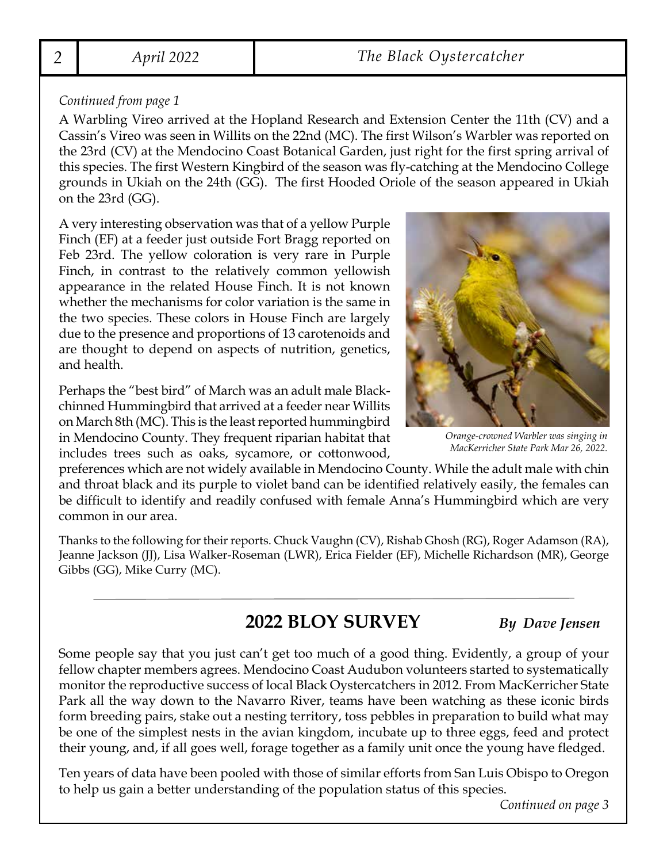### *Continued from page 1*

A Warbling Vireo arrived at the Hopland Research and Extension Center the 11th (CV) and a Cassin's Vireo was seen in Willits on the 22nd (MC). The first Wilson's Warbler was reported on the 23rd (CV) at the Mendocino Coast Botanical Garden, just right for the first spring arrival of this species. The first Western Kingbird of the season was fly-catching at the Mendocino College grounds in Ukiah on the 24th (GG). The first Hooded Oriole of the season appeared in Ukiah on the 23rd (GG).

A very interesting observation was that of a yellow Purple Finch (EF) at a feeder just outside Fort Bragg reported on Feb 23rd. The yellow coloration is very rare in Purple Finch, in contrast to the relatively common yellowish appearance in the related House Finch. It is not known whether the mechanisms for color variation is the same in the two species. These colors in House Finch are largely due to the presence and proportions of 13 carotenoids and are thought to depend on aspects of nutrition, genetics, and health.

Perhaps the "best bird" of March was an adult male Blackchinned Hummingbird that arrived at a feeder near Willits on March 8th (MC). This is the least reported hummingbird in Mendocino County. They frequent riparian habitat that includes trees such as oaks, sycamore, or cottonwood,

*Orange-crowned Warbler was singing in MacKerricher State Park Mar 26, 2022.*

preferences which are not widely available in Mendocino County. While the adult male with chin and throat black and its purple to violet band can be identified relatively easily, the females can be difficult to identify and readily confused with female Anna's Hummingbird which are very common in our area.

Thanks to the following for their reports. Chuck Vaughn (CV), Rishab Ghosh (RG), Roger Adamson (RA), Jeanne Jackson (JJ), Lisa Walker-Roseman (LWR), Erica Fielder (EF), Michelle Richardson (MR), George Gibbs (GG), Mike Curry (MC).

## **2022 BLOY SURVEY** *By Dave Jensen*

Some people say that you just can't get too much of a good thing. Evidently, a group of your fellow chapter members agrees. Mendocino Coast Audubon volunteers started to systematically monitor the reproductive success of local Black Oystercatchers in 2012. From MacKerricher State Park all the way down to the Navarro River, teams have been watching as these iconic birds form breeding pairs, stake out a nesting territory, toss pebbles in preparation to build what may be one of the simplest nests in the avian kingdom, incubate up to three eggs, feed and protect their young, and, if all goes well, forage together as a family unit once the young have fledged.

Ten years of data have been pooled with those of similar efforts from San Luis Obispo to Oregon to help us gain a better understanding of the population status of this species.

*Continued on page 3*

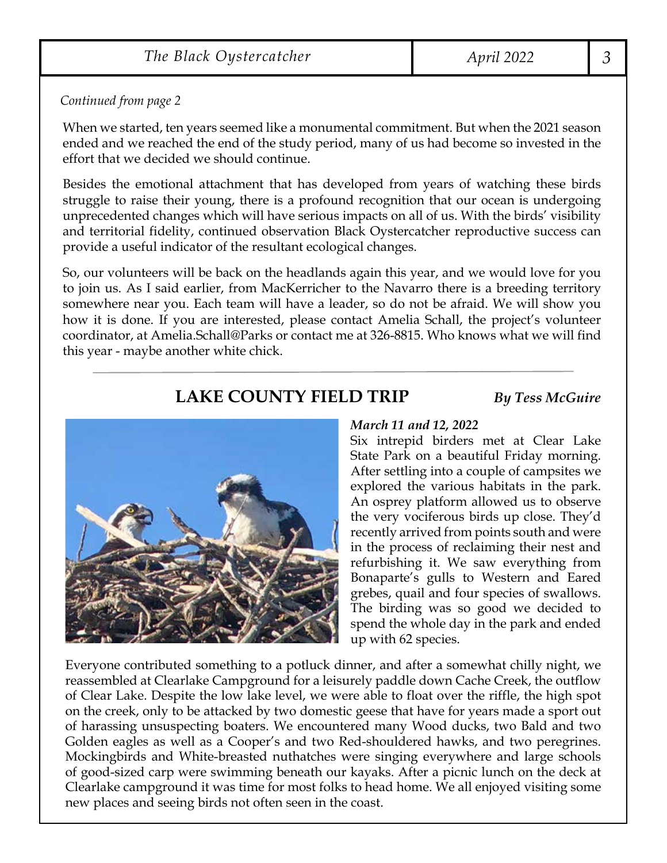*Continued from page 2*

When we started, ten years seemed like a monumental commitment. But when the 2021 season ended and we reached the end of the study period, many of us had become so invested in the effort that we decided we should continue.

Besides the emotional attachment that has developed from years of watching these birds struggle to raise their young, there is a profound recognition that our ocean is undergoing unprecedented changes which will have serious impacts on all of us. With the birds' visibility and territorial fidelity, continued observation Black Oystercatcher reproductive success can provide a useful indicator of the resultant ecological changes.

So, our volunteers will be back on the headlands again this year, and we would love for you to join us. As I said earlier, from MacKerricher to the Navarro there is a breeding territory somewhere near you. Each team will have a leader, so do not be afraid. We will show you how it is done. If you are interested, please contact Amelia Schall, the project's volunteer coordinator, at Amelia.Schall@Parks or contact me at 326-8815. Who knows what we will find this year - maybe another white chick.

## **LAKE COUNTY FIELD TRIP** *By Tess McGuire*



### *March 11 and 12, 2022*

Six intrepid birders met at Clear Lake State Park on a beautiful Friday morning. After settling into a couple of campsites we explored the various habitats in the park. An osprey platform allowed us to observe the very vociferous birds up close. They'd recently arrived from points south and were in the process of reclaiming their nest and refurbishing it. We saw everything from Bonaparte's gulls to Western and Eared grebes, quail and four species of swallows. The birding was so good we decided to spend the whole day in the park and ended up with 62 species.

Everyone contributed something to a potluck dinner, and after a somewhat chilly night, we reassembled at Clearlake Campground for a leisurely paddle down Cache Creek, the outflow of Clear Lake. Despite the low lake level, we were able to float over the riffle, the high spot on the creek, only to be attacked by two domestic geese that have for years made a sport out of harassing unsuspecting boaters. We encountered many Wood ducks, two Bald and two Golden eagles as well as a Cooper's and two Red-shouldered hawks, and two peregrines. Mockingbirds and White-breasted nuthatches were singing everywhere and large schools of good-sized carp were swimming beneath our kayaks. After a picnic lunch on the deck at Clearlake campground it was time for most folks to head home. We all enjoyed visiting some new places and seeing birds not often seen in the coast.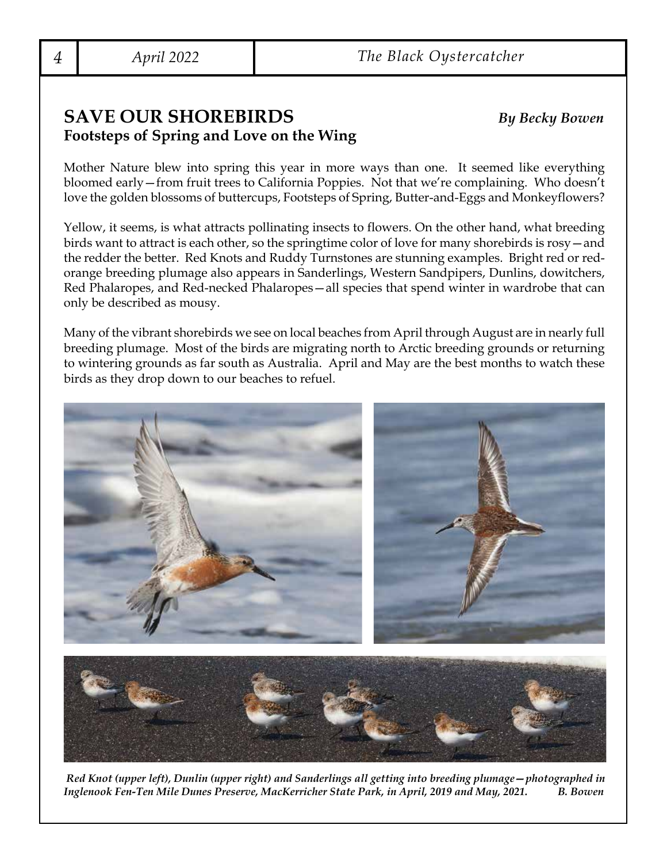## **SAVE OUR SHOREBIRDS** *By Becky Bowen* **Footsteps of Spring and Love on the Wing**

Mother Nature blew into spring this year in more ways than one. It seemed like everything bloomed early—from fruit trees to California Poppies. Not that we're complaining. Who doesn't love the golden blossoms of buttercups, Footsteps of Spring, Butter-and-Eggs and Monkeyflowers?

Yellow, it seems, is what attracts pollinating insects to flowers. On the other hand, what breeding birds want to attract is each other, so the springtime color of love for many shorebirds is rosy—and the redder the better. Red Knots and Ruddy Turnstones are stunning examples. Bright red or redorange breeding plumage also appears in Sanderlings, Western Sandpipers, Dunlins, dowitchers, Red Phalaropes, and Red-necked Phalaropes—all species that spend winter in wardrobe that can only be described as mousy.

Many of the vibrant shorebirds we see on local beaches from April through August are in nearly full breeding plumage. Most of the birds are migrating north to Arctic breeding grounds or returning to wintering grounds as far south as Australia. April and May are the best months to watch these birds as they drop down to our beaches to refuel.



 *Red Knot (upper left), Dunlin (upper right) and Sanderlings all getting into breeding plumage—photographed in Inglenook Fen-Ten Mile Dunes Preserve, MacKerricher State Park, in April, 2019 and May, 2021. B. Bowen*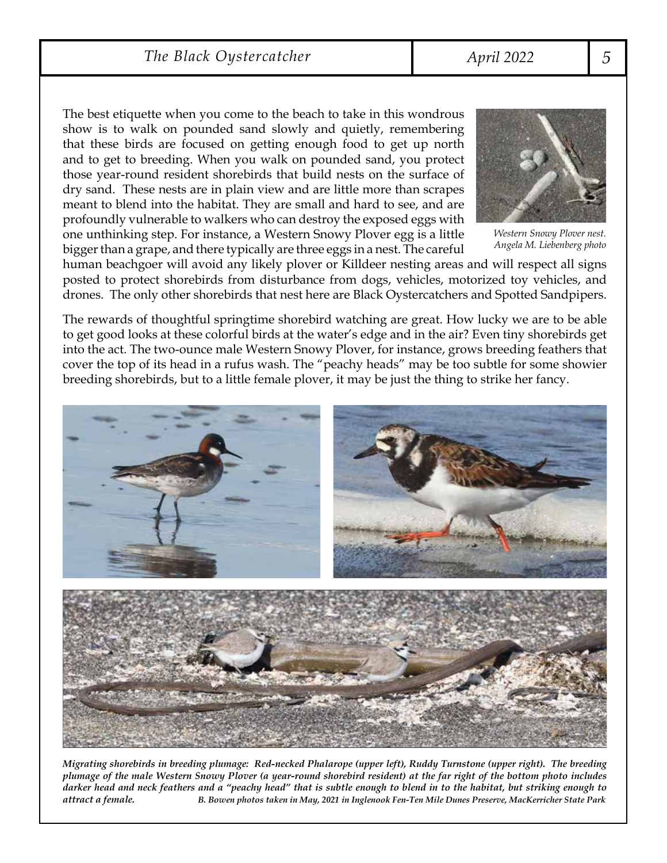*The Black Oystercatcher April 2022 5*

show is to walk on pounded sand slowly and quietly, remembering that these birds are focused on getting enough food to get up north and to get to breeding. When you walk on pounded sand, you protect those year-round resident shorebirds that build nests on the surface of dry sand. These nests are in plain view and are little more than scrapes meant to blend into the habitat. They are small and hard to see, and are profoundly vulnerable to walkers who can destroy the exposed eggs with one unthinking step. For instance, a Western Snowy Plover egg is a little bigger than a grape, and there typically are three eggs in a nest. The careful The best etiquette when you come to the beach to take in this wondrous



*Western Snowy Plover nest.*

human beachgoer will avoid any likely plover or Killdeer nesting areas and will respect all signs posted to protect shorebirds from disturbance from dogs, vehicles, motorized toy vehicles, and drones. The only other shorebirds that nest here are Black Oystercatchers and Spotted Sandpipers. drones. The only other shorebirds that nest here are Black Oystercatchers and Spotted Sandpipers.

to get good looks at these colorful birds at the water's edge and in the air? Even tiny shorebirds get into the act. The two-ounce male Western Snowy Plover, for instance, grows breeding feathers that cover the top of its head in a rufus wash. The "peachy heads" may be too subtle for some showier breeding shorebirds, but to a little female plover, it may be just the thing to strike her fancy. breeding shorebirds, but to a little female plover, it may be just the thing to strike her fancy. The rewards of thoughtful springtime shorebird watching are great. How lucky we are to be able



Migrating shorebirds in breeding plumage: Red-necked Phalarope (upper left), Ruddy Turnstone (upper right). The breeding plumage of the male Western Snowy Plover (a year-round shorebird resident) at the far right of the bottom photo includes darker head and neck feathers and a "peachy head" that is subtle enough to blend in to the habitat, but striking enough to<br>attract a female. B. Bowen photos taken in May, 2021 in Inglenook F *striking enough to attract a female. B. Bowen photos taken in May, 2021 in Inglenook Fen-Ten Mile Dunes Preserve, MacKerricher State Park*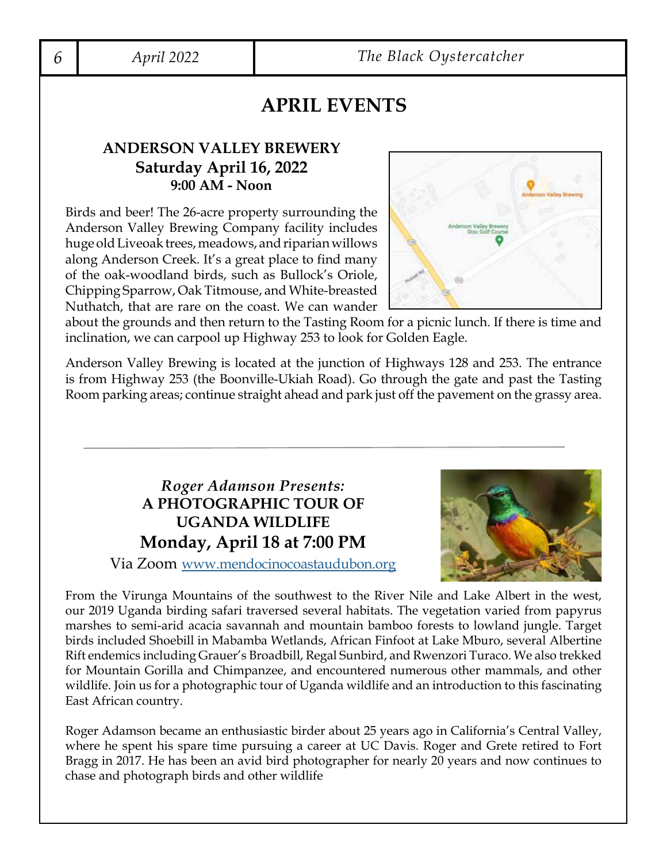## **APRIL EVENTS**

### **ANDERSON VALLEY BREWERY Saturday April 16, 2022 9:00 AM - Noon**

Birds and beer! The 26-acre property surrounding the Anderson Valley Brewing Company facility includes huge old Liveoak trees, meadows, and riparian willows along Anderson Creek. It's a great place to find many of the oak-woodland birds, such as Bullock's Oriole, Chipping Sparrow, Oak Titmouse, and White-breasted Nuthatch, that are rare on the coast. We can wander



about the grounds and then return to the Tasting Room for a picnic lunch. If there is time and inclination, we can carpool up Highway 253 to look for Golden Eagle.

Anderson Valley Brewing is located at the junction of Highways 128 and 253. The entrance is from Highway 253 (the Boonville-Ukiah Road). Go through the gate and past the Tasting Room parking areas; continue straight ahead and park just off the pavement on the grassy area.

## *Roger Adamson Presents:* **A PHOTOGRAPHIC TOUR OF UGANDA WILDLIFE Monday, April 18 at 7:00 PM**



Via Zoom [www.mendocinocoastaudubon.org](http://www.mendocinocoastaudubon.org)

From the Virunga Mountains of the southwest to the River Nile and Lake Albert in the west, our 2019 Uganda birding safari traversed several habitats. The vegetation varied from papyrus marshes to semi-arid acacia savannah and mountain bamboo forests to lowland jungle. Target birds included Shoebill in Mabamba Wetlands, African Finfoot at Lake Mburo, several Albertine Rift endemics including Grauer's Broadbill, Regal Sunbird, and Rwenzori Turaco. We also trekked for Mountain Gorilla and Chimpanzee, and encountered numerous other mammals, and other wildlife. Join us for a photographic tour of Uganda wildlife and an introduction to this fascinating East African country.

Roger Adamson became an enthusiastic birder about 25 years ago in California's Central Valley, where he spent his spare time pursuing a career at UC Davis. Roger and Grete retired to Fort Bragg in 2017. He has been an avid bird photographer for nearly 20 years and now continues to chase and photograph birds and other wildlife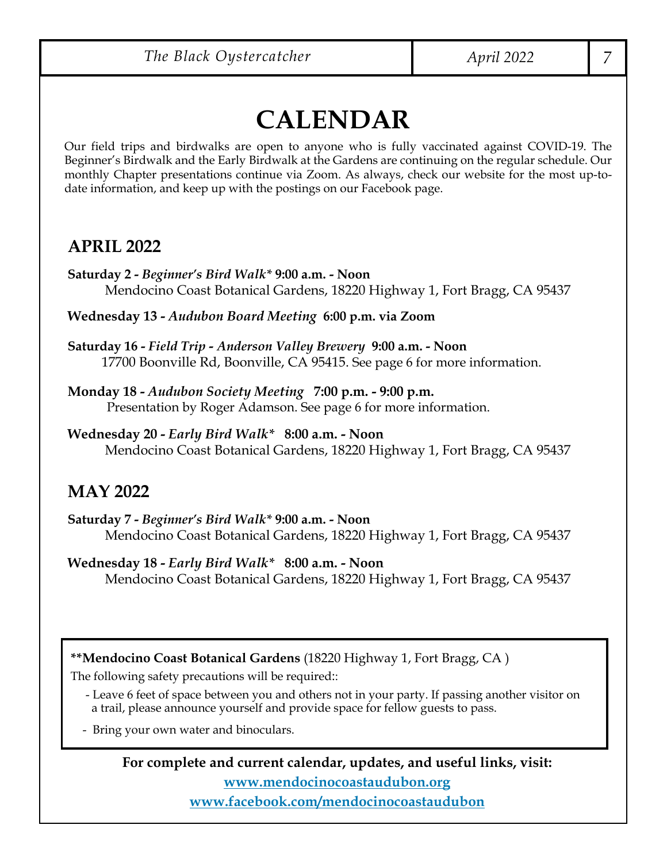# **CALENDAR**

Our field trips and birdwalks are open to anyone who is fully vaccinated against COVID-19. The Beginner's Birdwalk and the Early Birdwalk at the Gardens are continuing on the regular schedule. Our monthly Chapter presentations continue via Zoom. As always, check our website for the most up-todate information, and keep up with the postings on our Facebook page.

## **APRIL 2022**

**Saturday 2 -** *Beginner's Bird Walk\** **9:00 a.m. - Noon** Mendocino Coast Botanical Gardens, 18220 Highway 1, Fort Bragg, CA 95437

**Wednesday 13 -** *Audubon Board Meeting* **6:00 p.m. via Zoom**

**Saturday 16 -** *Field Trip - Anderson Valley Brewery* **9:00 a.m. - Noon** 17700 Boonville Rd, Boonville, CA 95415. See page 6 for more information.

**Monday 18 -** *Audubon Society Meeting* **7:00 p.m. - 9:00 p.m.** Presentation by Roger Adamson. See page 6 for more information.

**Wednesday 20 -** *Early Bird Walk\** **8:00 a.m. - Noon** Mendocino Coast Botanical Gardens, 18220 Highway 1, Fort Bragg, CA 95437

## **MAY 2022**

**Saturday 7 -** *Beginner's Bird Walk\** **9:00 a.m. - Noon** Mendocino Coast Botanical Gardens, 18220 Highway 1, Fort Bragg, CA 95437

**Wednesday 18 -** *Early Bird Walk\** **8:00 a.m. - Noon** Mendocino Coast Botanical Gardens, 18220 Highway 1, Fort Bragg, CA 95437

**\*\*Mendocino Coast Botanical Gardens** (18220 Highway 1, Fort Bragg, CA )

The following safety precautions will be required::

 - Leave 6 feet of space between you and others not in your party. If passing another visitor on a trail, please announce yourself and provide space for fellow guests to pass.

- Bring your own water and binoculars.

**For complete and current calendar, updates, and useful links, visit: [www.mendocinocoastaudubon.org](https://www.mendocinocoastaudubon.org/) [www.facebook.com/mendocinocoastaudubon](https://www.facebook.com/mendocinocoastaudubon)**